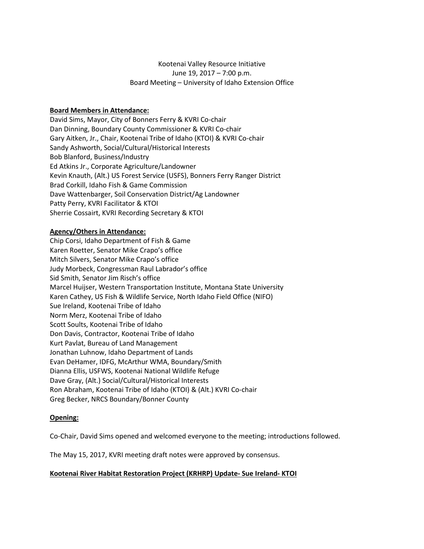# Kootenai Valley Resource Initiative June 19, 2017 – 7:00 p.m. Board Meeting – University of Idaho Extension Office

# **Board Members in Attendance:**

David Sims, Mayor, City of Bonners Ferry & KVRI Co-chair Dan Dinning, Boundary County Commissioner & KVRI Co-chair Gary Aitken, Jr., Chair, Kootenai Tribe of Idaho (KTOI) & KVRI Co-chair Sandy Ashworth, Social/Cultural/Historical Interests Bob Blanford, Business/Industry Ed Atkins Jr., Corporate Agriculture/Landowner Kevin Knauth, (Alt.) US Forest Service (USFS), Bonners Ferry Ranger District Brad Corkill, Idaho Fish & Game Commission Dave Wattenbarger, Soil Conservation District/Ag Landowner Patty Perry, KVRI Facilitator & KTOI Sherrie Cossairt, KVRI Recording Secretary & KTOI

## **Agency/Others in Attendance:**

Chip Corsi, Idaho Department of Fish & Game Karen Roetter, Senator Mike Crapo's office Mitch Silvers, Senator Mike Crapo's office Judy Morbeck, Congressman Raul Labrador's office Sid Smith, Senator Jim Risch's office Marcel Huijser, Western Transportation Institute, Montana State University Karen Cathey, US Fish & Wildlife Service, North Idaho Field Office (NIFO) Sue Ireland, Kootenai Tribe of Idaho Norm Merz, Kootenai Tribe of Idaho Scott Soults, Kootenai Tribe of Idaho Don Davis, Contractor, Kootenai Tribe of Idaho Kurt Pavlat, Bureau of Land Management Jonathan Luhnow, Idaho Department of Lands Evan DeHamer, IDFG, McArthur WMA, Boundary/Smith Dianna Ellis, USFWS, Kootenai National Wildlife Refuge Dave Gray, (Alt.) Social/Cultural/Historical Interests Ron Abraham, Kootenai Tribe of Idaho (KTOI) & (Alt.) KVRI Co-chair Greg Becker, NRCS Boundary/Bonner County

## **Opening:**

Co-Chair, David Sims opened and welcomed everyone to the meeting; introductions followed.

The May 15, 2017, KVRI meeting draft notes were approved by consensus.

## **Kootenai River Habitat Restoration Project (KRHRP) Update- Sue Ireland- KTOI**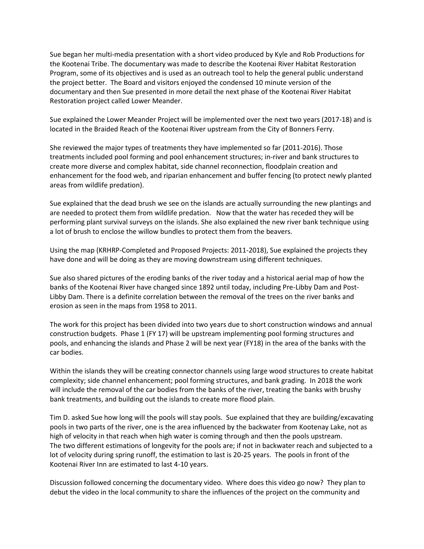Sue began her multi-media presentation with a short video produced by Kyle and Rob Productions for the Kootenai Tribe. The documentary was made to describe the Kootenai River Habitat Restoration Program, some of its objectives and is used as an outreach tool to help the general public understand the project better. The Board and visitors enjoyed the condensed 10 minute version of the documentary and then Sue presented in more detail the next phase of the Kootenai River Habitat Restoration project called Lower Meander.

Sue explained the Lower Meander Project will be implemented over the next two years (2017-18) and is located in the Braided Reach of the Kootenai River upstream from the City of Bonners Ferry.

She reviewed the major types of treatments they have implemented so far (2011-2016). Those treatments included pool forming and pool enhancement structures; in-river and bank structures to create more diverse and complex habitat, side channel reconnection, floodplain creation and enhancement for the food web, and riparian enhancement and buffer fencing (to protect newly planted areas from wildlife predation).

Sue explained that the dead brush we see on the islands are actually surrounding the new plantings and are needed to protect them from wildlife predation. Now that the water has receded they will be performing plant survival surveys on the islands. She also explained the new river bank technique using a lot of brush to enclose the willow bundles to protect them from the beavers.

Using the map (KRHRP-Completed and Proposed Projects: 2011-2018), Sue explained the projects they have done and will be doing as they are moving downstream using different techniques.

Sue also shared pictures of the eroding banks of the river today and a historical aerial map of how the banks of the Kootenai River have changed since 1892 until today, including Pre-Libby Dam and Post-Libby Dam. There is a definite correlation between the removal of the trees on the river banks and erosion as seen in the maps from 1958 to 2011.

The work for this project has been divided into two years due to short construction windows and annual construction budgets. Phase 1 (FY 17) will be upstream implementing pool forming structures and pools, and enhancing the islands and Phase 2 will be next year (FY18) in the area of the banks with the car bodies.

Within the islands they will be creating connector channels using large wood structures to create habitat complexity; side channel enhancement; pool forming structures, and bank grading. In 2018 the work will include the removal of the car bodies from the banks of the river, treating the banks with brushy bank treatments, and building out the islands to create more flood plain.

Tim D. asked Sue how long will the pools will stay pools. Sue explained that they are building/excavating pools in two parts of the river, one is the area influenced by the backwater from Kootenay Lake, not as high of velocity in that reach when high water is coming through and then the pools upstream. The two different estimations of longevity for the pools are; if not in backwater reach and subjected to a lot of velocity during spring runoff, the estimation to last is 20-25 years. The pools in front of the Kootenai River Inn are estimated to last 4-10 years.

Discussion followed concerning the documentary video. Where does this video go now? They plan to debut the video in the local community to share the influences of the project on the community and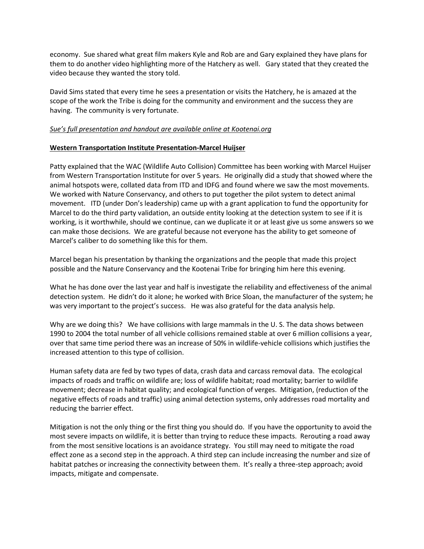economy. Sue shared what great film makers Kyle and Rob are and Gary explained they have plans for them to do another video highlighting more of the Hatchery as well. Gary stated that they created the video because they wanted the story told.

David Sims stated that every time he sees a presentation or visits the Hatchery, he is amazed at the scope of the work the Tribe is doing for the community and environment and the success they are having. The community is very fortunate.

## *Sue's full presentation and handout are available online at Kootenai.org*

## **Western Transportation Institute Presentation-Marcel Huijser**

Patty explained that the WAC (Wildlife Auto Collision) Committee has been working with Marcel Huijser from Western Transportation Institute for over 5 years. He originally did a study that showed where the animal hotspots were, collated data from ITD and IDFG and found where we saw the most movements. We worked with Nature Conservancy, and others to put together the pilot system to detect animal movement. ITD (under Don's leadership) came up with a grant application to fund the opportunity for Marcel to do the third party validation, an outside entity looking at the detection system to see if it is working, is it worthwhile, should we continue, can we duplicate it or at least give us some answers so we can make those decisions. We are grateful because not everyone has the ability to get someone of Marcel's caliber to do something like this for them.

Marcel began his presentation by thanking the organizations and the people that made this project possible and the Nature Conservancy and the Kootenai Tribe for bringing him here this evening.

What he has done over the last year and half is investigate the reliability and effectiveness of the animal detection system. He didn't do it alone; he worked with Brice Sloan, the manufacturer of the system; he was very important to the project's success. He was also grateful for the data analysis help.

Why are we doing this? We have collisions with large mammals in the U. S. The data shows between 1990 to 2004 the total number of all vehicle collisions remained stable at over 6 million collisions a year, over that same time period there was an increase of 50% in wildlife-vehicle collisions which justifies the increased attention to this type of collision.

Human safety data are fed by two types of data, crash data and carcass removal data. The ecological impacts of roads and traffic on wildlife are; loss of wildlife habitat; road mortality; barrier to wildlife movement; decrease in habitat quality; and ecological function of verges. Mitigation, (reduction of the negative effects of roads and traffic) using animal detection systems, only addresses road mortality and reducing the barrier effect.

Mitigation is not the only thing or the first thing you should do. If you have the opportunity to avoid the most severe impacts on wildlife, it is better than trying to reduce these impacts. Rerouting a road away from the most sensitive locations is an avoidance strategy. You still may need to mitigate the road effect zone as a second step in the approach. A third step can include increasing the number and size of habitat patches or increasing the connectivity between them. It's really a three-step approach; avoid impacts, mitigate and compensate.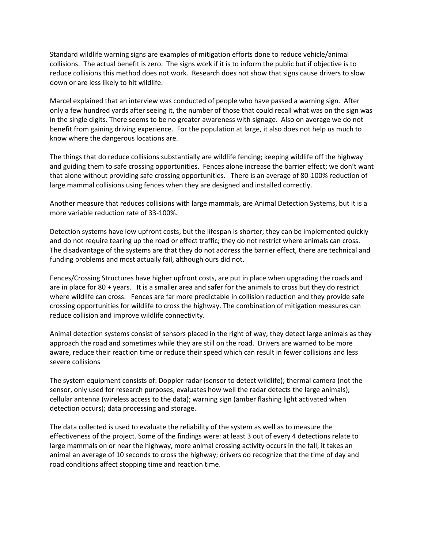Standard wildlife warning signs are examples of mitigation efforts done to reduce vehicle/animal collisions. The actual benefit is zero. The signs work if it is to inform the public but if objective is to reduce collisions this method does not work. Research does not show that signs cause drivers to slow down or are less likely to hit wildlife.

Marcel explained that an interview was conducted of people who have passed a warning sign. After only a few hundred yards after seeing it, the number of those that could recall what was on the sign was in the single digits. There seems to be no greater awareness with signage. Also on average we do not benefit from gaining driving experience. For the population at large, it also does not help us much to know where the dangerous locations are.

The things that do reduce collisions substantially are wildlife fencing; keeping wildlife off the highway and guiding them to safe crossing opportunities. Fences alone increase the barrier effect; we don't want that alone without providing safe crossing opportunities. There is an average of 80-100% reduction of large mammal collisions using fences when they are designed and installed correctly.

Another measure that reduces collisions with large mammals, are Animal Detection Systems, but it is a more variable reduction rate of 33-100%.

Detection systems have low upfront costs, but the lifespan is shorter; they can be implemented quickly and do not require tearing up the road or effect traffic; they do not restrict where animals can cross. The disadvantage of the systems are that they do not address the barrier effect, there are technical and funding problems and most actually fail, although ours did not.

Fences/Crossing Structures have higher upfront costs, are put in place when upgrading the roads and are in place for 80 + years. It is a smaller area and safer for the animals to cross but they do restrict where wildlife can cross. Fences are far more predictable in collision reduction and they provide safe crossing opportunities for wildlife to cross the highway. The combination of mitigation measures can reduce collision and improve wildlife connectivity.

Animal detection systems consist of sensors placed in the right of way; they detect large animals as they approach the road and sometimes while they are still on the road. Drivers are warned to be more aware, reduce their reaction time or reduce their speed which can result in fewer collisions and less severe collisions

The system equipment consists of: Doppler radar (sensor to detect wildlife); thermal camera (not the sensor, only used for research purposes, evaluates how well the radar detects the large animals); cellular antenna (wireless access to the data); warning sign (amber flashing light activated when detection occurs); data processing and storage.

The data collected is used to evaluate the reliability of the system as well as to measure the effectiveness of the project. Some of the findings were: at least 3 out of every 4 detections relate to large mammals on or near the highway, more animal crossing activity occurs in the fall; it takes an animal an average of 10 seconds to cross the highway; drivers do recognize that the time of day and road conditions affect stopping time and reaction time.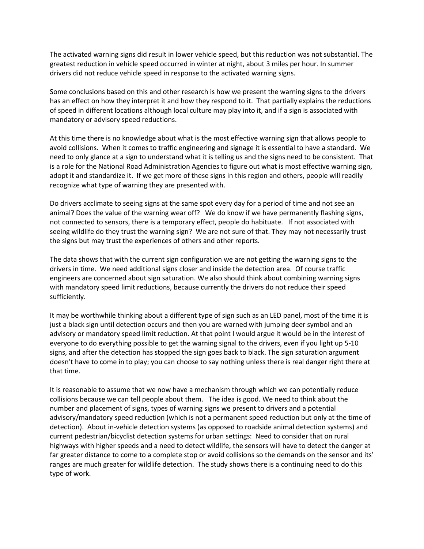The activated warning signs did result in lower vehicle speed, but this reduction was not substantial. The greatest reduction in vehicle speed occurred in winter at night, about 3 miles per hour. In summer drivers did not reduce vehicle speed in response to the activated warning signs.

Some conclusions based on this and other research is how we present the warning signs to the drivers has an effect on how they interpret it and how they respond to it. That partially explains the reductions of speed in different locations although local culture may play into it, and if a sign is associated with mandatory or advisory speed reductions.

At this time there is no knowledge about what is the most effective warning sign that allows people to avoid collisions. When it comes to traffic engineering and signage it is essential to have a standard. We need to only glance at a sign to understand what it is telling us and the signs need to be consistent. That is a role for the National Road Administration Agencies to figure out what is most effective warning sign, adopt it and standardize it. If we get more of these signs in this region and others, people will readily recognize what type of warning they are presented with.

Do drivers acclimate to seeing signs at the same spot every day for a period of time and not see an animal? Does the value of the warning wear off? We do know if we have permanently flashing signs, not connected to sensors, there is a temporary effect, people do habituate. If not associated with seeing wildlife do they trust the warning sign? We are not sure of that. They may not necessarily trust the signs but may trust the experiences of others and other reports.

The data shows that with the current sign configuration we are not getting the warning signs to the drivers in time. We need additional signs closer and inside the detection area. Of course traffic engineers are concerned about sign saturation. We also should think about combining warning signs with mandatory speed limit reductions, because currently the drivers do not reduce their speed sufficiently.

It may be worthwhile thinking about a different type of sign such as an LED panel, most of the time it is just a black sign until detection occurs and then you are warned with jumping deer symbol and an advisory or mandatory speed limit reduction. At that point I would argue it would be in the interest of everyone to do everything possible to get the warning signal to the drivers, even if you light up 5-10 signs, and after the detection has stopped the sign goes back to black. The sign saturation argument doesn't have to come in to play; you can choose to say nothing unless there is real danger right there at that time.

It is reasonable to assume that we now have a mechanism through which we can potentially reduce collisions because we can tell people about them. The idea is good. We need to think about the number and placement of signs, types of warning signs we present to drivers and a potential advisory/mandatory speed reduction (which is not a permanent speed reduction but only at the time of detection). About in-vehicle detection systems (as opposed to roadside animal detection systems) and current pedestrian/bicyclist detection systems for urban settings: Need to consider that on rural highways with higher speeds and a need to detect wildlife, the sensors will have to detect the danger at far greater distance to come to a complete stop or avoid collisions so the demands on the sensor and its' ranges are much greater for wildlife detection. The study shows there is a continuing need to do this type of work.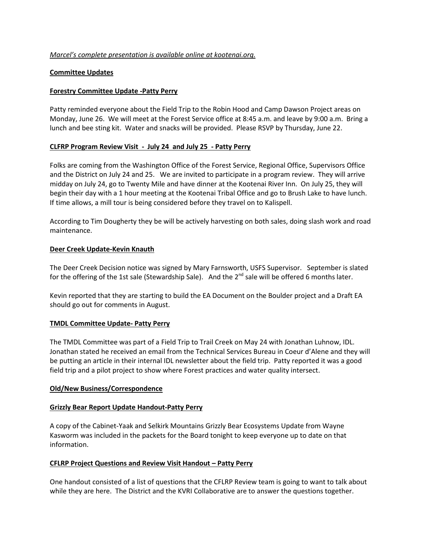## *Marcel's complete presentation is available online at kootenai.org.*

### **Committee Updates**

### **Forestry Committee Update -Patty Perry**

Patty reminded everyone about the Field Trip to the Robin Hood and Camp Dawson Project areas on Monday, June 26. We will meet at the Forest Service office at 8:45 a.m. and leave by 9:00 a.m. Bring a lunch and bee sting kit. Water and snacks will be provided. Please RSVP by Thursday, June 22.

### **CLFRP Program Review Visit - July 24 and July 25 - Patty Perry**

Folks are coming from the Washington Office of the Forest Service, Regional Office, Supervisors Office and the District on July 24 and 25. We are invited to participate in a program review. They will arrive midday on July 24, go to Twenty Mile and have dinner at the Kootenai River Inn. On July 25, they will begin their day with a 1 hour meeting at the Kootenai Tribal Office and go to Brush Lake to have lunch. If time allows, a mill tour is being considered before they travel on to Kalispell.

According to Tim Dougherty they be will be actively harvesting on both sales, doing slash work and road maintenance.

### **Deer Creek Update-Kevin Knauth**

The Deer Creek Decision notice was signed by Mary Farnsworth, USFS Supervisor. September is slated for the offering of the 1st sale (Stewardship Sale). And the 2<sup>nd</sup> sale will be offered 6 months later.

Kevin reported that they are starting to build the EA Document on the Boulder project and a Draft EA should go out for comments in August.

### **TMDL Committee Update- Patty Perry**

The TMDL Committee was part of a Field Trip to Trail Creek on May 24 with Jonathan Luhnow, IDL. Jonathan stated he received an email from the Technical Services Bureau in Coeur d'Alene and they will be putting an article in their internal IDL newsletter about the field trip. Patty reported it was a good field trip and a pilot project to show where Forest practices and water quality intersect.

### **Old/New Business/Correspondence**

### **Grizzly Bear Report Update Handout-Patty Perry**

A copy of the Cabinet-Yaak and Selkirk Mountains Grizzly Bear Ecosystems Update from Wayne Kasworm was included in the packets for the Board tonight to keep everyone up to date on that information.

### **CFLRP Project Questions and Review Visit Handout – Patty Perry**

One handout consisted of a list of questions that the CFLRP Review team is going to want to talk about while they are here. The District and the KVRI Collaborative are to answer the questions together.